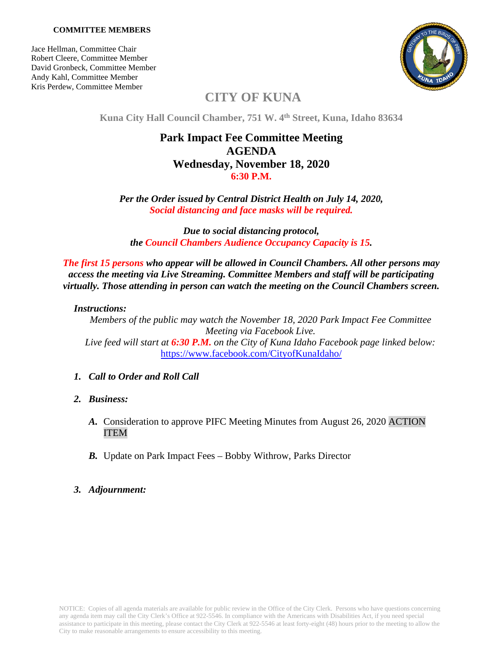#### **COMMITTEE MEMBERS**

Jace Hellman, Committee Chair Robert Cleere, Committee Member David Gronbeck, Committee Member Andy Kahl, Committee Member Kris Perdew, Committee Member



# **CITY OF KUNA**

**Kuna City Hall Council Chamber, 751 W. 4th Street, Kuna, Idaho 83634** 

## **Park Impact Fee Committee Meeting AGENDA Wednesday, November 18, 2020 6:30 P.M.**

*Per the Order issued by Central District Health on July 14, 2020, Social distancing and face masks will be required.*

*Due to social distancing protocol, the Council Chambers Audience Occupancy Capacity is 15.* 

*The first 15 persons who appear will be allowed in Council Chambers. All other persons may access the meeting via Live Streaming. Committee Members and staff will be participating virtually. Those attending in person can watch the meeting on the Council Chambers screen.*

### *Instructions:*

*Members of the public may watch the November 18, 2020 Park Impact Fee Committee Meeting via Facebook Live. Live feed will start at 6:30 P.M. on the City of Kuna Idaho Facebook page linked below:*  <https://www.facebook.com/CityofKunaIdaho/>

- *1. Call to Order and Roll Call*
- *2. Business:*
- *A.* Consideration to approve PIFC Meeting Minutes from August 26, 2020 ACTION ITEM *A.* Consideration to approve PIFC Meeting Minutes from August<br> **ITEM**<br> *B.* Update on Park Impact Fees – Bobby Withrow, Parks Director **ACT** 
	-
- *3. Adjournment:*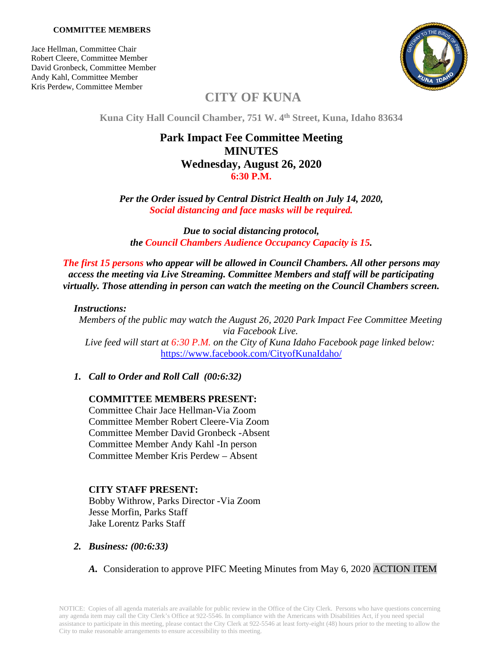#### **COMMITTEE MEMBERS**

Jace Hellman, Committee Chair Robert Cleere, Committee Member David Gronbeck, Committee Member Andy Kahl, Committee Member Kris Perdew, Committee Member



# **CITY OF KUNA**

**Kuna City Hall Council Chamber, 751 W. 4th Street, Kuna, Idaho 83634**

## **Park Impact Fee Committee Meeting MINUTES Wednesday, August 26, 2020 6:30 P.M.**

*Per the Order issued by Central District Health on July 14, 2020, Social distancing and face masks will be required.*

*Due to social distancing protocol, the Council Chambers Audience Occupancy Capacity is 15.* 

*The first 15 persons who appear will be allowed in Council Chambers. All other persons may access the meeting via Live Streaming. Committee Members and staff will be participating virtually. Those attending in person can watch the meeting on the Council Chambers screen.*

### *Instructions:*

*Members of the public may watch the August 26, 2020 Park Impact Fee Committee Meeting via Facebook Live. Live feed will start at 6:30 P.M. on the City of Kuna Idaho Facebook page linked below:* <https://www.facebook.com/CityofKunaIdaho/>

*1. Call to Order and Roll Call (00:6:32)*

### **COMMITTEE MEMBERS PRESENT:**

Committee Chair Jace Hellman-Via Zoom Committee Member Robert Cleere-Via Zoom Committee Member David Gronbeck -Absent Committee Member Andy Kahl -In person Committee Member Kris Perdew – Absent

### **CITY STAFF PRESENT:**

Bobby Withrow, Parks Director -Via Zoom Jesse Morfin, Parks Staff Jake Lorentz Parks Staff

- *2. Business: (00:6:33)*
	- *A.* Consideration to approve PIFC Meeting Minutes from May 6, 2020 ACTION ITEM